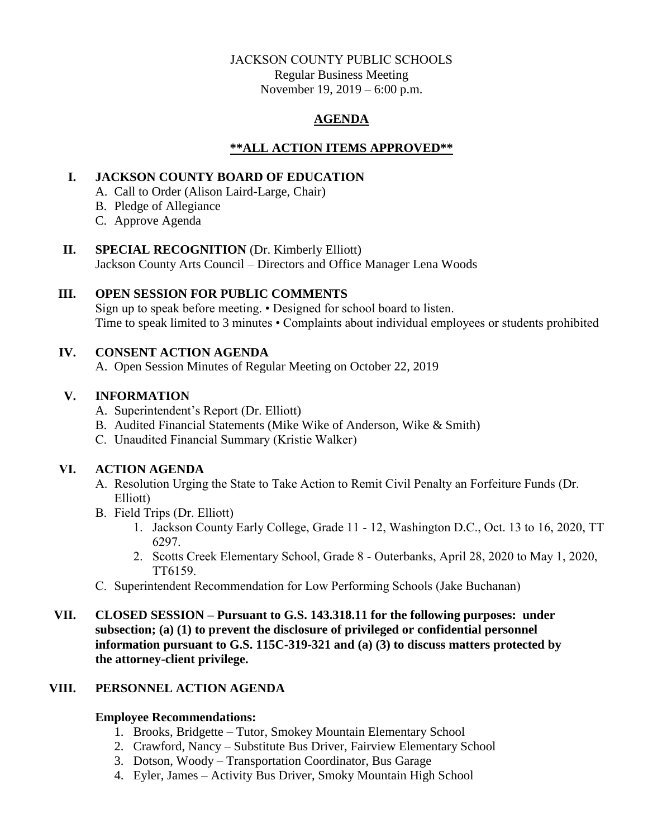# JACKSON COUNTY PUBLIC SCHOOLS

Regular Business Meeting November 19, 2019 – 6:00 p.m.

# **AGENDA**

# **\*\*ALL ACTION ITEMS APPROVED\*\***

## **I. JACKSON COUNTY BOARD OF EDUCATION**

- A. Call to Order (Alison Laird-Large, Chair)
- B. Pledge of Allegiance
- C. Approve Agenda

### **II. SPECIAL RECOGNITION** (Dr. Kimberly Elliott)

Jackson County Arts Council – Directors and Office Manager Lena Woods

# **III. OPEN SESSION FOR PUBLIC COMMENTS**

Sign up to speak before meeting. • Designed for school board to listen. Time to speak limited to 3 minutes • Complaints about individual employees or students prohibited

# **IV. CONSENT ACTION AGENDA**

A. Open Session Minutes of Regular Meeting on October 22, 2019

### **V. INFORMATION**

- A. Superintendent's Report (Dr. Elliott)
- B. Audited Financial Statements (Mike Wike of Anderson, Wike & Smith)
- C. Unaudited Financial Summary (Kristie Walker)

# **VI. ACTION AGENDA**

- A. Resolution Urging the State to Take Action to Remit Civil Penalty an Forfeiture Funds (Dr. Elliott)
- B. Field Trips (Dr. Elliott)
	- 1. Jackson County Early College, Grade 11 12, Washington D.C., Oct. 13 to 16, 2020, TT 6297.
	- 2. Scotts Creek Elementary School, Grade 8 Outerbanks, April 28, 2020 to May 1, 2020, TT6159.
- C. Superintendent Recommendation for Low Performing Schools (Jake Buchanan)
- **VII. CLOSED SESSION – Pursuant to G.S. 143.318.11 for the following purposes: under subsection; (a) (1) to prevent the disclosure of privileged or confidential personnel information pursuant to G.S. 115C-319-321 and (a) (3) to discuss matters protected by the attorney-client privilege.**

# **VIII. PERSONNEL ACTION AGENDA**

#### **Employee Recommendations:**

- 1. Brooks, Bridgette Tutor, Smokey Mountain Elementary School
- 2. Crawford, Nancy Substitute Bus Driver, Fairview Elementary School
- 3. Dotson, Woody Transportation Coordinator, Bus Garage
- 4. Eyler, James Activity Bus Driver, Smoky Mountain High School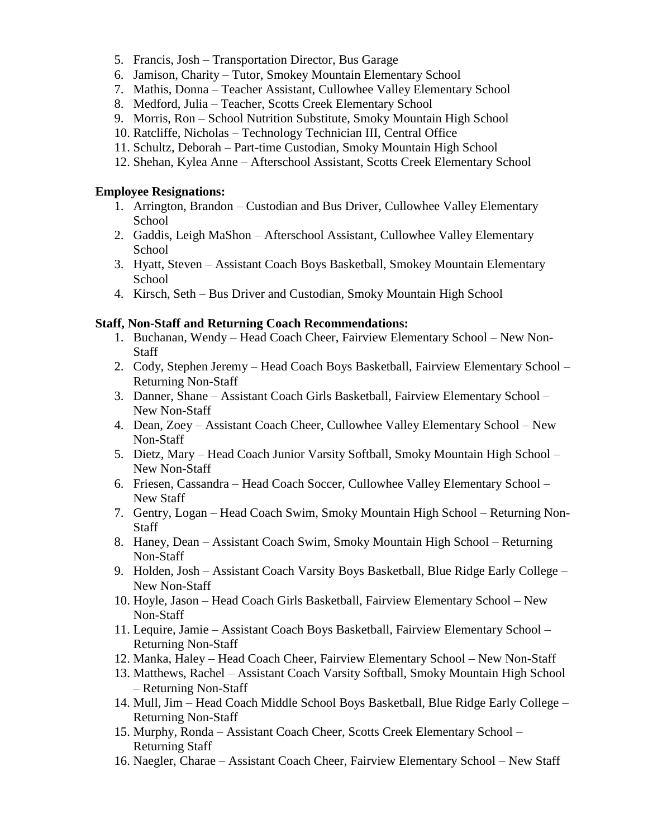- 5. Francis, Josh Transportation Director, Bus Garage
- 6. Jamison, Charity Tutor, Smokey Mountain Elementary School
- 7. Mathis, Donna Teacher Assistant, Cullowhee Valley Elementary School
- 8. Medford, Julia Teacher, Scotts Creek Elementary School
- 9. Morris, Ron School Nutrition Substitute, Smoky Mountain High School
- 10. Ratcliffe, Nicholas Technology Technician III, Central Office
- 11. Schultz, Deborah Part-time Custodian, Smoky Mountain High School
- 12. Shehan, Kylea Anne Afterschool Assistant, Scotts Creek Elementary School

#### **Employee Resignations:**

- 1. Arrington, Brandon Custodian and Bus Driver, Cullowhee Valley Elementary **School**
- 2. Gaddis, Leigh MaShon Afterschool Assistant, Cullowhee Valley Elementary School
- 3. Hyatt, Steven Assistant Coach Boys Basketball, Smokey Mountain Elementary School
- 4. Kirsch, Seth Bus Driver and Custodian, Smoky Mountain High School

#### **Staff, Non-Staff and Returning Coach Recommendations:**

- 1. Buchanan, Wendy Head Coach Cheer, Fairview Elementary School New Non-Staff
- 2. Cody, Stephen Jeremy Head Coach Boys Basketball, Fairview Elementary School Returning Non-Staff
- 3. Danner, Shane Assistant Coach Girls Basketball, Fairview Elementary School New Non-Staff
- 4. Dean, Zoey Assistant Coach Cheer, Cullowhee Valley Elementary School New Non-Staff
- 5. Dietz, Mary Head Coach Junior Varsity Softball, Smoky Mountain High School New Non-Staff
- 6. Friesen, Cassandra Head Coach Soccer, Cullowhee Valley Elementary School New Staff
- 7. Gentry, Logan Head Coach Swim, Smoky Mountain High School Returning Non-Staff
- 8. Haney, Dean Assistant Coach Swim, Smoky Mountain High School Returning Non-Staff
- 9. Holden, Josh Assistant Coach Varsity Boys Basketball, Blue Ridge Early College New Non-Staff
- 10. Hoyle, Jason Head Coach Girls Basketball, Fairview Elementary School New Non-Staff
- 11. Lequire, Jamie Assistant Coach Boys Basketball, Fairview Elementary School Returning Non-Staff
- 12. Manka, Haley Head Coach Cheer, Fairview Elementary School New Non-Staff
- 13. Matthews, Rachel Assistant Coach Varsity Softball, Smoky Mountain High School – Returning Non-Staff
- 14. Mull, Jim Head Coach Middle School Boys Basketball, Blue Ridge Early College Returning Non-Staff
- 15. Murphy, Ronda Assistant Coach Cheer, Scotts Creek Elementary School Returning Staff
- 16. Naegler, Charae Assistant Coach Cheer, Fairview Elementary School New Staff